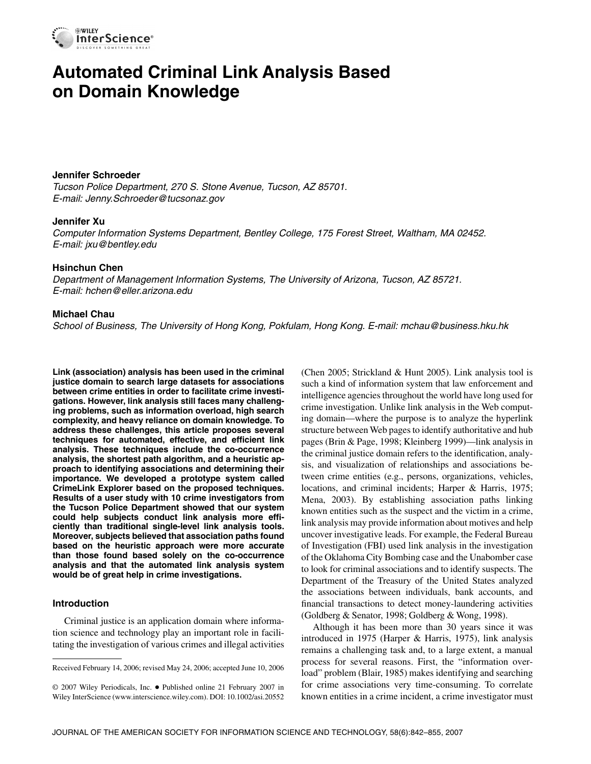

# **Automated Criminal Link Analysis Based on Domain Knowledge**

## **Jennifer Schroeder**

*Tucson Police Department, 270 S. Stone Avenue, Tucson, AZ 85701. E-mail: Jenny.Schroeder@tucsonaz.gov*

## **Jennifer Xu**

*Computer Information Systems Department, Bentley College, 175 Forest Street, Waltham, MA 02452. E-mail: jxu@bentley.edu*

# **Hsinchun Chen**

*Department of Management Information Systems, The University of Arizona, Tucson, AZ 85721. E-mail: hchen@eller.arizona.edu*

# **Michael Chau**

*School of Business, The University of Hong Kong, Pokfulam, Hong Kong. E-mail: mchau@business.hku.hk*

**Link (association) analysis has been used in the criminal justice domain to search large datasets for associations between crime entities in order to facilitate crime investigations. However, link analysis still faces many challenging problems, such as information overload, high search complexity, and heavy reliance on domain knowledge. To address these challenges, this article proposes several techniques for automated, effective, and efficient link analysis. These techniques include the co-occurrence analysis, the shortest path algorithm, and a heuristic approach to identifying associations and determining their importance. We developed a prototype system called CrimeLink Explorer based on the proposed techniques. Results of a user study with 10 crime investigators from the Tucson Police Department showed that our system could help subjects conduct link analysis more efficiently than traditional single-level link analysis tools. Moreover, subjects believed that association paths found based on the heuristic approach were more accurate than those found based solely on the co-occurrence analysis and that the automated link analysis system would be of great help in crime investigations.**

# **Introduction**

Criminal justice is an application domain where information science and technology play an important role in facilitating the investigation of various crimes and illegal activities

(Chen 2005; Strickland & Hunt 2005). Link analysis tool is such a kind of information system that law enforcement and intelligence agencies throughout the world have long used for crime investigation. Unlike link analysis in the Web computing domain—where the purpose is to analyze the hyperlink structure between Web pages to identify authoritative and hub pages (Brin & Page, 1998; Kleinberg 1999)—link analysis in the criminal justice domain refers to the identification, analysis, and visualization of relationships and associations between crime entities (e.g., persons, organizations, vehicles, locations, and criminal incidents; Harper & Harris, 1975; Mena, 2003). By establishing association paths linking known entities such as the suspect and the victim in a crime, link analysis may provide information about motives and help uncover investigative leads. For example, the Federal Bureau of Investigation (FBI) used link analysis in the investigation of the Oklahoma City Bombing case and the Unabomber case to look for criminal associations and to identify suspects. The Department of the Treasury of the United States analyzed the associations between individuals, bank accounts, and financial transactions to detect money-laundering activities (Goldberg & Senator, 1998; Goldberg & Wong, 1998).

Although it has been more than 30 years since it was introduced in 1975 (Harper & Harris, 1975), link analysis remains a challenging task and, to a large extent, a manual process for several reasons. First, the "information overload" problem (Blair, 1985) makes identifying and searching for crime associations very time-consuming. To correlate known entities in a crime incident, a crime investigator must

Received February 14, 2006; revised May 24, 2006; accepted June 10, 2006

<sup>©</sup> 2007 Wiley Periodicals, Inc. • Published online 21 February 2007 in Wiley InterScience (www.interscience.wiley.com). DOI: 10.1002/asi.20552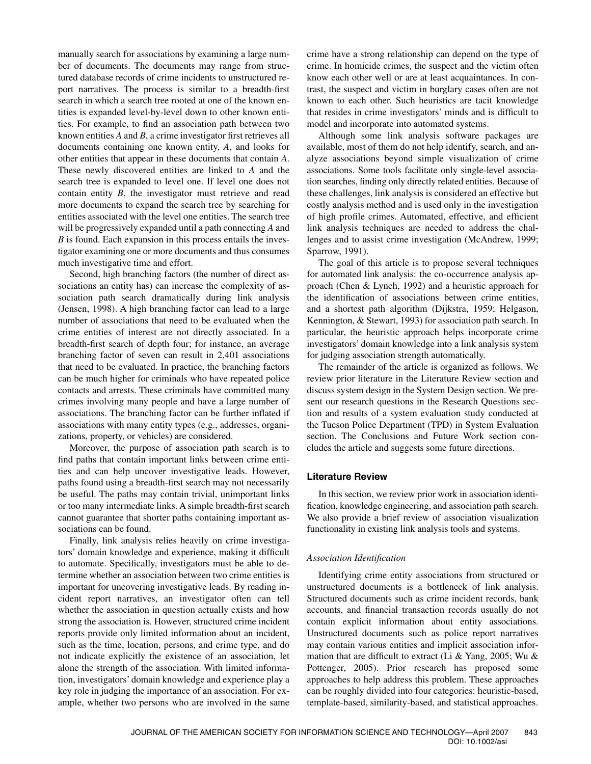manually search for associations by examining a large number of documents. The documents may range from structured database records of crime incidents to unstructured report narratives. The process is similar to a breadth-first search in which a search tree rooted at one of the known entities is expanded level-by-level down to other known entities. For example, to find an association path between two known entities *A* and *B*, a crime investigator first retrieves all documents containing one known entity, *A*, and looks for other entities that appear in these documents that contain *A*. These newly discovered entities are linked to *A* and the search tree is expanded to level one. If level one does not contain entity *B*, the investigator must retrieve and read more documents to expand the search tree by searching for entities associated with the level one entities. The search tree will be progressively expanded until a path connecting *A* and *B* is found. Each expansion in this process entails the investigator examining one or more documents and thus consumes much investigative time and effort.

Second, high branching factors (the number of direct associations an entity has) can increase the complexity of association path search dramatically during link analysis (Jensen, 1998). A high branching factor can lead to a large number of associations that need to be evaluated when the crime entities of interest are not directly associated. In a breadth-first search of depth four; for instance, an average branching factor of seven can result in 2,401 associations that need to be evaluated. In practice, the branching factors can be much higher for criminals who have repeated police contacts and arrests. These criminals have committed many crimes involving many people and have a large number of associations. The branching factor can be further inflated if associations with many entity types (e.g., addresses, organizations, property, or vehicles) are considered.

Moreover, the purpose of association path search is to find paths that contain important links between crime entities and can help uncover investigative leads. However, paths found using a breadth-first search may not necessarily be useful. The paths may contain trivial, unimportant links or too many intermediate links. A simple breadth-first search cannot guarantee that shorter paths containing important associations can be found.

Finally, link analysis relies heavily on crime investigators' domain knowledge and experience, making it difficult to automate. Specifically, investigators must be able to determine whether an association between two crime entities is important for uncovering investigative leads. By reading incident report narratives, an investigator often can tell whether the association in question actually exists and how strong the association is. However, structured crime incident reports provide only limited information about an incident, such as the time, location, persons, and crime type, and do not indicate explicitly the existence of an association, let alone the strength of the association. With limited information, investigators' domain knowledge and experience play a key role in judging the importance of an association. For example, whether two persons who are involved in the same

crime have a strong relationship can depend on the type of crime. In homicide crimes, the suspect and the victim often know each other well or are at least acquaintances. In contrast, the suspect and victim in burglary cases often are not known to each other. Such heuristics are tacit knowledge that resides in crime investigators' minds and is difficult to model and incorporate into automated systems.

Although some link analysis software packages are available, most of them do not help identify, search, and analyze associations beyond simple visualization of crime associations. Some tools facilitate only single-level association searches, finding only directly related entities. Because of these challenges, link analysis is considered an effective but costly analysis method and is used only in the investigation of high profile crimes. Automated, effective, and efficient link analysis techniques are needed to address the challenges and to assist crime investigation (McAndrew, 1999; Sparrow, 1991).

The goal of this article is to propose several techniques for automated link analysis: the co-occurrence analysis approach (Chen & Lynch, 1992) and a heuristic approach for the identification of associations between crime entities, and a shortest path algorithm (Dijkstra, 1959; Helgason, Kennington, & Stewart, 1993) for association path search. In particular, the heuristic approach helps incorporate crime investigators' domain knowledge into a link analysis system for judging association strength automatically.

The remainder of the article is organized as follows. We review prior literature in the Literature Review section and discuss system design in the System Design section. We present our research questions in the Research Questions section and results of a system evaluation study conducted at the Tucson Police Department (TPD) in System Evaluation section. The Conclusions and Future Work section concludes the article and suggests some future directions.

# **Literature Review**

In this section, we review prior work in association identification, knowledge engineering, and association path search. We also provide a brief review of association visualization functionality in existing link analysis tools and systems.

## *Association Identification*

Identifying crime entity associations from structured or unstructured documents is a bottleneck of link analysis. Structured documents such as crime incident records, bank accounts, and financial transaction records usually do not contain explicit information about entity associations. Unstructured documents such as police report narratives may contain various entities and implicit association information that are difficult to extract (Li & Yang, 2005; Wu & Pottenger, 2005). Prior research has proposed some approaches to help address this problem. These approaches can be roughly divided into four categories: heuristic-based, template-based, similarity-based, and statistical approaches.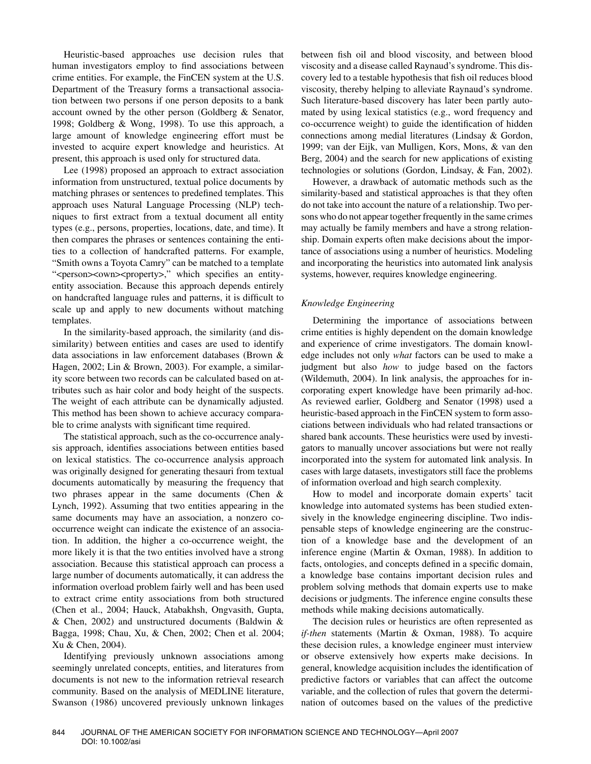Heuristic-based approaches use decision rules that human investigators employ to find associations between crime entities. For example, the FinCEN system at the U.S. Department of the Treasury forms a transactional association between two persons if one person deposits to a bank account owned by the other person (Goldberg & Senator, 1998; Goldberg & Wong, 1998). To use this approach, a large amount of knowledge engineering effort must be invested to acquire expert knowledge and heuristics. At present, this approach is used only for structured data.

Lee (1998) proposed an approach to extract association information from unstructured, textual police documents by matching phrases or sentences to predefined templates. This approach uses Natural Language Processing (NLP) techniques to first extract from a textual document all entity types (e.g., persons, properties, locations, date, and time). It then compares the phrases or sentences containing the entities to a collection of handcrafted patterns. For example, "Smith owns a Toyota Camry" can be matched to a template "<person><own><property>," which specifies an entityentity association. Because this approach depends entirely on handcrafted language rules and patterns, it is difficult to scale up and apply to new documents without matching templates.

In the similarity-based approach, the similarity (and dissimilarity) between entities and cases are used to identify data associations in law enforcement databases (Brown & Hagen, 2002; Lin & Brown, 2003). For example, a similarity score between two records can be calculated based on attributes such as hair color and body height of the suspects. The weight of each attribute can be dynamically adjusted. This method has been shown to achieve accuracy comparable to crime analysts with significant time required.

The statistical approach, such as the co-occurrence analysis approach, identifies associations between entities based on lexical statistics. The co-occurrence analysis approach was originally designed for generating thesauri from textual documents automatically by measuring the frequency that two phrases appear in the same documents (Chen & Lynch, 1992). Assuming that two entities appearing in the same documents may have an association, a nonzero cooccurrence weight can indicate the existence of an association. In addition, the higher a co-occurrence weight, the more likely it is that the two entities involved have a strong association. Because this statistical approach can process a large number of documents automatically, it can address the information overload problem fairly well and has been used to extract crime entity associations from both structured (Chen et al., 2004; Hauck, Atabakhsh, Ongvasith, Gupta, & Chen, 2002) and unstructured documents (Baldwin & Bagga, 1998; Chau, Xu, & Chen, 2002; Chen et al. 2004; Xu & Chen, 2004).

Identifying previously unknown associations among seemingly unrelated concepts, entities, and literatures from documents is not new to the information retrieval research community. Based on the analysis of MEDLINE literature, Swanson (1986) uncovered previously unknown linkages between fish oil and blood viscosity, and between blood viscosity and a disease called Raynaud's syndrome. This discovery led to a testable hypothesis that fish oil reduces blood viscosity, thereby helping to alleviate Raynaud's syndrome. Such literature-based discovery has later been partly automated by using lexical statistics (e.g., word frequency and co-occurrence weight) to guide the identification of hidden connections among medial literatures (Lindsay & Gordon, 1999; van der Eijk, van Mulligen, Kors, Mons, & van den Berg, 2004) and the search for new applications of existing technologies or solutions (Gordon, Lindsay, & Fan, 2002).

However, a drawback of automatic methods such as the similarity-based and statistical approaches is that they often do not take into account the nature of a relationship. Two persons who do not appear together frequently in the same crimes may actually be family members and have a strong relationship. Domain experts often make decisions about the importance of associations using a number of heuristics. Modeling and incorporating the heuristics into automated link analysis systems, however, requires knowledge engineering.

## *Knowledge Engineering*

Determining the importance of associations between crime entities is highly dependent on the domain knowledge and experience of crime investigators. The domain knowledge includes not only *what* factors can be used to make a judgment but also *how* to judge based on the factors (Wildemuth, 2004). In link analysis, the approaches for incorporating expert knowledge have been primarily ad-hoc. As reviewed earlier, Goldberg and Senator (1998) used a heuristic-based approach in the FinCEN system to form associations between individuals who had related transactions or shared bank accounts. These heuristics were used by investigators to manually uncover associations but were not really incorporated into the system for automated link analysis. In cases with large datasets, investigators still face the problems of information overload and high search complexity.

How to model and incorporate domain experts' tacit knowledge into automated systems has been studied extensively in the knowledge engineering discipline. Two indispensable steps of knowledge engineering are the construction of a knowledge base and the development of an inference engine (Martin & Oxman, 1988). In addition to facts, ontologies, and concepts defined in a specific domain, a knowledge base contains important decision rules and problem solving methods that domain experts use to make decisions or judgments. The inference engine consults these methods while making decisions automatically.

The decision rules or heuristics are often represented as *if-then* statements (Martin & Oxman, 1988). To acquire these decision rules, a knowledge engineer must interview or observe extensively how experts make decisions. In general, knowledge acquisition includes the identification of predictive factors or variables that can affect the outcome variable, and the collection of rules that govern the determination of outcomes based on the values of the predictive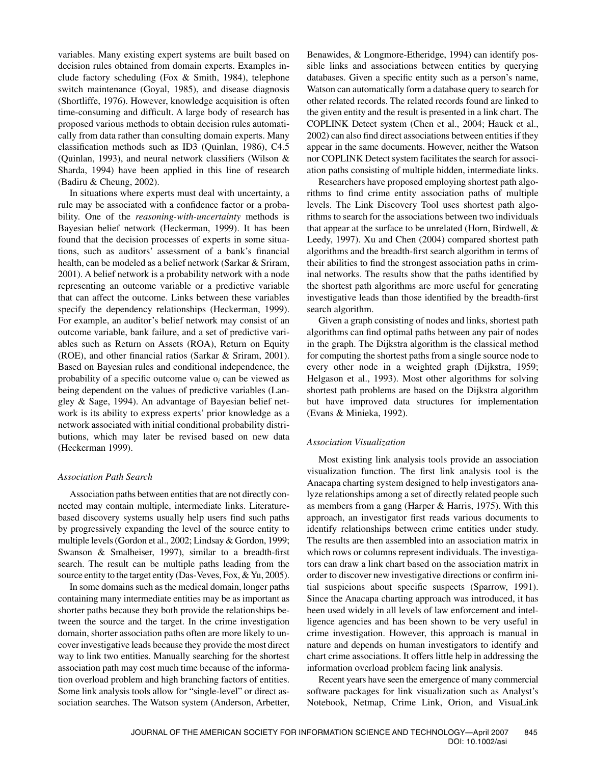variables. Many existing expert systems are built based on decision rules obtained from domain experts. Examples include factory scheduling (Fox & Smith, 1984), telephone switch maintenance (Goyal, 1985), and disease diagnosis (Shortliffe, 1976). However, knowledge acquisition is often time-consuming and difficult. A large body of research has proposed various methods to obtain decision rules automatically from data rather than consulting domain experts. Many classification methods such as ID3 (Quinlan, 1986), C4.5 (Quinlan, 1993), and neural network classifiers (Wilson & Sharda, 1994) have been applied in this line of research (Badiru & Cheung, 2002).

In situations where experts must deal with uncertainty, a rule may be associated with a confidence factor or a probability. One of the *reasoning-with-uncertainty* methods is Bayesian belief network (Heckerman, 1999). It has been found that the decision processes of experts in some situations, such as auditors' assessment of a bank's financial health, can be modeled as a belief network (Sarkar & Sriram, 2001). A belief network is a probability network with a node representing an outcome variable or a predictive variable that can affect the outcome. Links between these variables specify the dependency relationships (Heckerman, 1999). For example, an auditor's belief network may consist of an outcome variable, bank failure, and a set of predictive variables such as Return on Assets (ROA), Return on Equity (ROE), and other financial ratios (Sarkar & Sriram, 2001). Based on Bayesian rules and conditional independence, the probability of a specific outcome value o*<sup>i</sup>* can be viewed as being dependent on the values of predictive variables (Langley & Sage, 1994). An advantage of Bayesian belief network is its ability to express experts' prior knowledge as a network associated with initial conditional probability distributions, which may later be revised based on new data (Heckerman 1999).

## *Association Path Search*

Association paths between entities that are not directly connected may contain multiple, intermediate links. Literaturebased discovery systems usually help users find such paths by progressively expanding the level of the source entity to multiple levels (Gordon et al., 2002; Lindsay & Gordon, 1999; Swanson & Smalheiser, 1997), similar to a breadth-first search. The result can be multiple paths leading from the source entity to the target entity (Das-Veves, Fox, & Yu, 2005).

In some domains such as the medical domain, longer paths containing many intermediate entities may be as important as shorter paths because they both provide the relationships between the source and the target. In the crime investigation domain, shorter association paths often are more likely to uncover investigative leads because they provide the most direct way to link two entities. Manually searching for the shortest association path may cost much time because of the information overload problem and high branching factors of entities. Some link analysis tools allow for "single-level" or direct association searches. The Watson system (Anderson, Arbetter,

Benawides, & Longmore-Etheridge, 1994) can identify possible links and associations between entities by querying databases. Given a specific entity such as a person's name, Watson can automatically form a database query to search for other related records. The related records found are linked to the given entity and the result is presented in a link chart. The COPLINK Detect system (Chen et al., 2004; Hauck et al., 2002) can also find direct associations between entities if they appear in the same documents. However, neither the Watson nor COPLINK Detect system facilitates the search for association paths consisting of multiple hidden, intermediate links.

Researchers have proposed employing shortest path algorithms to find crime entity association paths of multiple levels. The Link Discovery Tool uses shortest path algorithms to search for the associations between two individuals that appear at the surface to be unrelated (Horn, Birdwell, & Leedy, 1997). Xu and Chen (2004) compared shortest path algorithms and the breadth-first search algorithm in terms of their abilities to find the strongest association paths in criminal networks. The results show that the paths identified by the shortest path algorithms are more useful for generating investigative leads than those identified by the breadth-first search algorithm.

Given a graph consisting of nodes and links, shortest path algorithms can find optimal paths between any pair of nodes in the graph. The Dijkstra algorithm is the classical method for computing the shortest paths from a single source node to every other node in a weighted graph (Dijkstra, 1959; Helgason et al., 1993). Most other algorithms for solving shortest path problems are based on the Dijkstra algorithm but have improved data structures for implementation (Evans & Minieka, 1992).

## *Association Visualization*

Most existing link analysis tools provide an association visualization function. The first link analysis tool is the Anacapa charting system designed to help investigators analyze relationships among a set of directly related people such as members from a gang (Harper & Harris, 1975). With this approach, an investigator first reads various documents to identify relationships between crime entities under study. The results are then assembled into an association matrix in which rows or columns represent individuals. The investigators can draw a link chart based on the association matrix in order to discover new investigative directions or confirm initial suspicions about specific suspects (Sparrow, 1991). Since the Anacapa charting approach was introduced, it has been used widely in all levels of law enforcement and intelligence agencies and has been shown to be very useful in crime investigation. However, this approach is manual in nature and depends on human investigators to identify and chart crime associations. It offers little help in addressing the information overload problem facing link analysis.

Recent years have seen the emergence of many commercial software packages for link visualization such as Analyst's Notebook, Netmap, Crime Link, Orion, and VisuaLink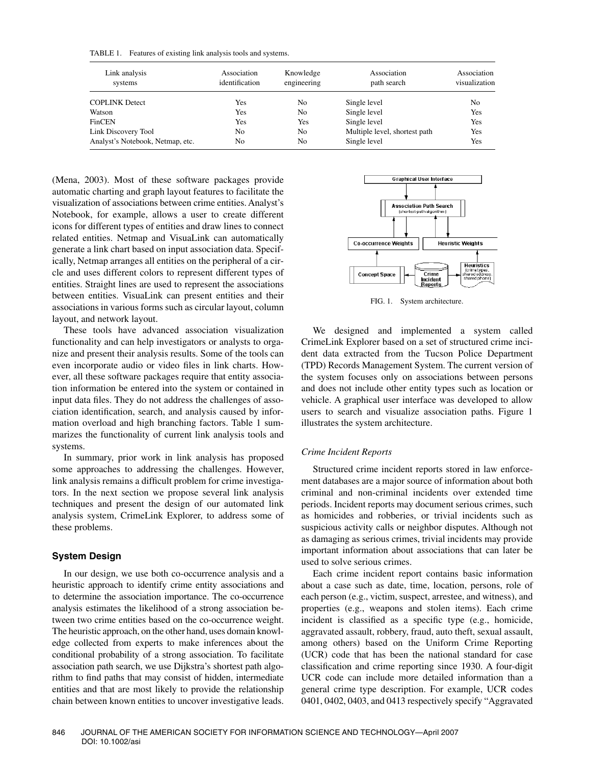TABLE 1. Features of existing link analysis tools and systems.

| Association<br>Association<br>visualization<br>path search |
|------------------------------------------------------------|
| Single level<br>No                                         |
| Single level<br>Yes                                        |
| Single level<br>Yes                                        |
| Multiple level, shortest path<br>Yes                       |
| Single level<br>Yes                                        |
|                                                            |

(Mena, 2003). Most of these software packages provide automatic charting and graph layout features to facilitate the visualization of associations between crime entities. Analyst's Notebook, for example, allows a user to create different icons for different types of entities and draw lines to connect related entities. Netmap and VisuaLink can automatically generate a link chart based on input association data. Specifically, Netmap arranges all entities on the peripheral of a circle and uses different colors to represent different types of entities. Straight lines are used to represent the associations between entities. VisuaLink can present entities and their associations in various forms such as circular layout, column layout, and network layout.

These tools have advanced association visualization functionality and can help investigators or analysts to organize and present their analysis results. Some of the tools can even incorporate audio or video files in link charts. However, all these software packages require that entity association information be entered into the system or contained in input data files. They do not address the challenges of association identification, search, and analysis caused by information overload and high branching factors. Table 1 summarizes the functionality of current link analysis tools and systems.

In summary, prior work in link analysis has proposed some approaches to addressing the challenges. However, link analysis remains a difficult problem for crime investigators. In the next section we propose several link analysis techniques and present the design of our automated link analysis system, CrimeLink Explorer, to address some of these problems.

# **System Design**

In our design, we use both co-occurrence analysis and a heuristic approach to identify crime entity associations and to determine the association importance. The co-occurrence analysis estimates the likelihood of a strong association between two crime entities based on the co-occurrence weight. The heuristic approach, on the other hand, uses domain knowledge collected from experts to make inferences about the conditional probability of a strong association. To facilitate association path search, we use Dijkstra's shortest path algorithm to find paths that may consist of hidden, intermediate entities and that are most likely to provide the relationship chain between known entities to uncover investigative leads.



FIG. 1. System architecture.

We designed and implemented a system called CrimeLink Explorer based on a set of structured crime incident data extracted from the Tucson Police Department (TPD) Records Management System. The current version of the system focuses only on associations between persons and does not include other entity types such as location or vehicle. A graphical user interface was developed to allow users to search and visualize association paths. Figure 1 illustrates the system architecture.

## *Crime Incident Reports*

Structured crime incident reports stored in law enforcement databases are a major source of information about both criminal and non-criminal incidents over extended time periods. Incident reports may document serious crimes, such as homicides and robberies, or trivial incidents such as suspicious activity calls or neighbor disputes. Although not as damaging as serious crimes, trivial incidents may provide important information about associations that can later be used to solve serious crimes.

Each crime incident report contains basic information about a case such as date, time, location, persons, role of each person (e.g., victim, suspect, arrestee, and witness), and properties (e.g., weapons and stolen items). Each crime incident is classified as a specific type (e.g., homicide, aggravated assault, robbery, fraud, auto theft, sexual assault, among others) based on the Uniform Crime Reporting (UCR) code that has been the national standard for case classification and crime reporting since 1930. A four-digit UCR code can include more detailed information than a general crime type description. For example, UCR codes 0401, 0402, 0403, and 0413 respectively specify "Aggravated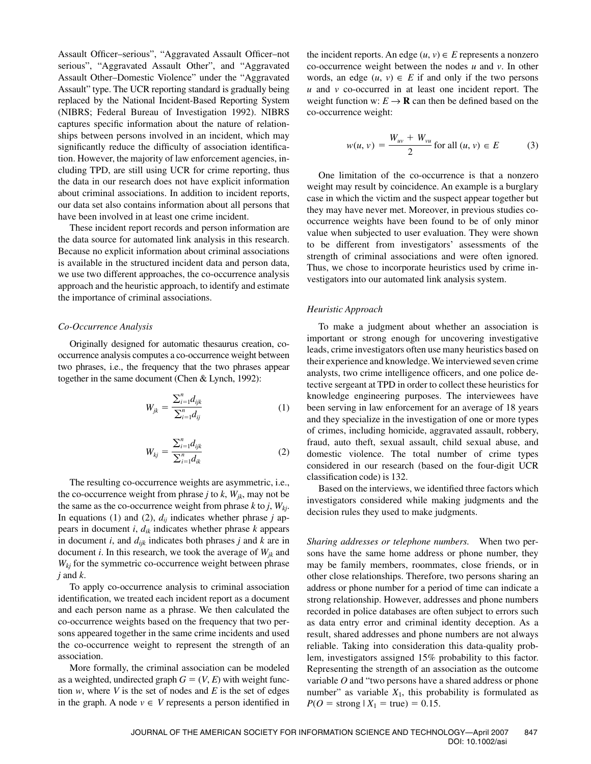Assault Officer–serious", "Aggravated Assault Officer–not serious", "Aggravated Assault Other", and "Aggravated Assault Other–Domestic Violence" under the "Aggravated Assault" type. The UCR reporting standard is gradually being replaced by the National Incident-Based Reporting System (NIBRS; Federal Bureau of Investigation 1992). NIBRS captures specific information about the nature of relationships between persons involved in an incident, which may significantly reduce the difficulty of association identification. However, the majority of law enforcement agencies, including TPD, are still using UCR for crime reporting, thus the data in our research does not have explicit information about criminal associations. In addition to incident reports, our data set also contains information about all persons that have been involved in at least one crime incident.

These incident report records and person information are the data source for automated link analysis in this research. Because no explicit information about criminal associations is available in the structured incident data and person data, we use two different approaches, the co-occurrence analysis approach and the heuristic approach, to identify and estimate the importance of criminal associations.

## *Co-Occurrence Analysis*

Originally designed for automatic thesaurus creation, cooccurrence analysis computes a co-occurrence weight between two phrases, i.e., the frequency that the two phrases appear together in the same document (Chen & Lynch, 1992):

$$
W_{jk} = \frac{\sum_{i=1}^{n} d_{ijk}}{\sum_{i=1}^{n} d_{ij}} \tag{1}
$$

$$
W_{kj} = \frac{\sum_{i=1}^{n} d_{ijk}}{\sum_{i=1}^{n} d_{ik}} \tag{2}
$$

The resulting co-occurrence weights are asymmetric, i.e., the co-occurrence weight from phrase *j* to  $k$ ,  $W_{jk}$ , may not be the same as the co-occurrence weight from phrase  $k$  to  $j$ ,  $W_{ki}$ . In equations (1) and (2),  $d_{ij}$  indicates whether phrase *j* appears in document *i*, *dik* indicates whether phrase *k* appears in document *i*, and *dijk* indicates both phrases *j* and *k* are in document *i*. In this research, we took the average of *Wjk* and  $W_{kj}$  for the symmetric co-occurrence weight between phrase *j* and *k*.

To apply co-occurrence analysis to criminal association identification, we treated each incident report as a document and each person name as a phrase. We then calculated the co-occurrence weights based on the frequency that two persons appeared together in the same crime incidents and used the co-occurrence weight to represent the strength of an association.

More formally, the criminal association can be modeled as a weighted, undirected graph  $G = (V, E)$  with weight function  $w$ , where  $V$  is the set of nodes and  $E$  is the set of edges in the graph. A node  $v \in V$  represents a person identified in

the incident reports. An edge  $(u, v) \in E$  represents a nonzero co-occurrence weight between the nodes *u* and *v*. In other words, an edge  $(u, v) \in E$  if and only if the two persons *u* and *v* co-occurred in at least one incident report. The weight function w:  $E \rightarrow \mathbf{R}$  can then be defined based on the co-occurrence weight:

$$
w(u, v) = \frac{W_{uv} + W_{vu}}{2} \text{ for all } (u, v) \in E
$$
 (3)

One limitation of the co-occurrence is that a nonzero weight may result by coincidence. An example is a burglary case in which the victim and the suspect appear together but they may have never met. Moreover, in previous studies cooccurrence weights have been found to be of only minor value when subjected to user evaluation. They were shown to be different from investigators' assessments of the strength of criminal associations and were often ignored. Thus, we chose to incorporate heuristics used by crime investigators into our automated link analysis system.

#### *Heuristic Approach*

To make a judgment about whether an association is important or strong enough for uncovering investigative leads, crime investigators often use many heuristics based on their experience and knowledge. We interviewed seven crime analysts, two crime intelligence officers, and one police detective sergeant at TPD in order to collect these heuristics for knowledge engineering purposes. The interviewees have been serving in law enforcement for an average of 18 years and they specialize in the investigation of one or more types of crimes, including homicide, aggravated assault, robbery, fraud, auto theft, sexual assault, child sexual abuse, and domestic violence. The total number of crime types considered in our research (based on the four-digit UCR classification code) is 132.

Based on the interviews, we identified three factors which investigators considered while making judgments and the decision rules they used to make judgments.

*Sharing addresses or telephone numbers.* When two persons have the same home address or phone number, they may be family members, roommates, close friends, or in other close relationships. Therefore, two persons sharing an address or phone number for a period of time can indicate a strong relationship. However, addresses and phone numbers recorded in police databases are often subject to errors such as data entry error and criminal identity deception. As a result, shared addresses and phone numbers are not always reliable. Taking into consideration this data-quality problem, investigators assigned 15% probability to this factor. Representing the strength of an association as the outcome variable *O* and "two persons have a shared address or phone number" as variable  $X_1$ , this probability is formulated as *P*( $O =$  strong |  $X_1 =$  true) = 0.15.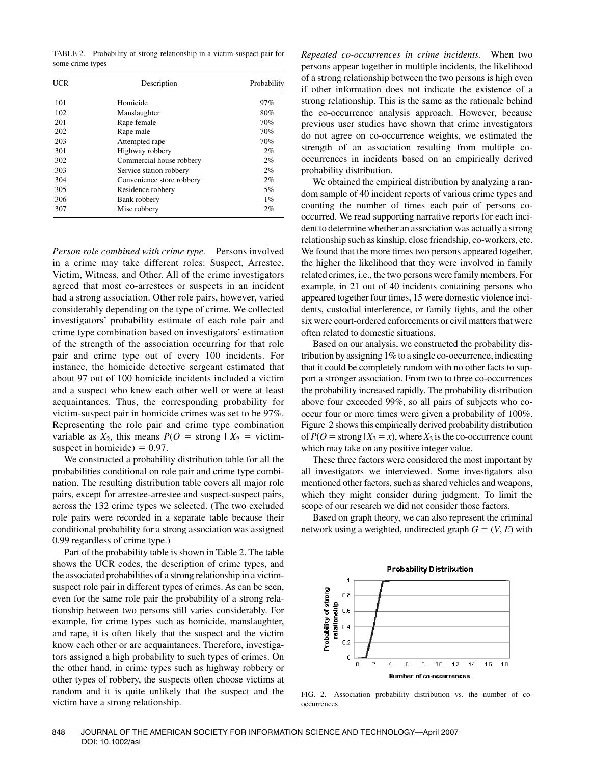TABLE 2. Probability of strong relationship in a victim-suspect pair for some crime types

| UCR | Description               | Probability |  |
|-----|---------------------------|-------------|--|
| 101 | Homicide                  | 97%         |  |
| 102 | Manslaughter              | 80%         |  |
| 201 | Rape female               | 70%         |  |
| 202 | Rape male                 | 70%         |  |
| 203 | Attempted rape            | 70%         |  |
| 301 | Highway robbery           | 2%          |  |
| 302 | Commercial house robbery  | 2%          |  |
| 303 | Service station robbery   | 2%          |  |
| 304 | Convenience store robbery | 2%          |  |
| 305 | Residence robbery         | 5%          |  |
| 306 | Bank robbery              | $1\%$       |  |
| 307 | Misc robbery              | 2%          |  |

*Person role combined with crime type.* Persons involved in a crime may take different roles: Suspect, Arrestee, Victim, Witness, and Other. All of the crime investigators agreed that most co-arrestees or suspects in an incident had a strong association. Other role pairs, however, varied considerably depending on the type of crime. We collected investigators' probability estimate of each role pair and crime type combination based on investigators' estimation of the strength of the association occurring for that role pair and crime type out of every 100 incidents. For instance, the homicide detective sergeant estimated that about 97 out of 100 homicide incidents included a victim and a suspect who knew each other well or were at least acquaintances. Thus, the corresponding probability for victim-suspect pair in homicide crimes was set to be 97%. Representing the role pair and crime type combination variable as  $X_2$ , this means  $P(O = \text{strong} \mid X_2 = \text{victim} \cdot \cdot)$ suspect in homicide)  $= 0.97$ .

We constructed a probability distribution table for all the probabilities conditional on role pair and crime type combination. The resulting distribution table covers all major role pairs, except for arrestee-arrestee and suspect-suspect pairs, across the 132 crime types we selected. (The two excluded role pairs were recorded in a separate table because their conditional probability for a strong association was assigned 0.99 regardless of crime type.)

Part of the probability table is shown in Table 2. The table shows the UCR codes, the description of crime types, and the associated probabilities of a strong relationship in a victimsuspect role pair in different types of crimes. As can be seen, even for the same role pair the probability of a strong relationship between two persons still varies considerably. For example, for crime types such as homicide, manslaughter, and rape, it is often likely that the suspect and the victim know each other or are acquaintances. Therefore, investigators assigned a high probability to such types of crimes. On the other hand, in crime types such as highway robbery or other types of robbery, the suspects often choose victims at random and it is quite unlikely that the suspect and the victim have a strong relationship.

*Repeated co-occurrences in crime incidents.* When two persons appear together in multiple incidents, the likelihood of a strong relationship between the two persons is high even if other information does not indicate the existence of a strong relationship. This is the same as the rationale behind the co-occurrence analysis approach. However, because previous user studies have shown that crime investigators do not agree on co-occurrence weights, we estimated the strength of an association resulting from multiple cooccurrences in incidents based on an empirically derived probability distribution.

We obtained the empirical distribution by analyzing a random sample of 40 incident reports of various crime types and counting the number of times each pair of persons cooccurred. We read supporting narrative reports for each incident to determine whether an association was actually a strong relationship such as kinship, close friendship, co-workers, etc. We found that the more times two persons appeared together, the higher the likelihood that they were involved in family related crimes, i.e., the two persons were family members. For example, in 21 out of 40 incidents containing persons who appeared together four times, 15 were domestic violence incidents, custodial interference, or family fights, and the other six were court-ordered enforcements or civil matters that were often related to domestic situations.

Based on our analysis, we constructed the probability distribution by assigning 1% to a single co-occurrence, indicating that it could be completely random with no other facts to support a stronger association. From two to three co-occurrences the probability increased rapidly. The probability distribution above four exceeded 99%, so all pairs of subjects who cooccur four or more times were given a probability of 100%. Figure 2 shows this empirically derived probability distribution of  $P(O = \text{strong} | X_3 = x)$ , where  $X_3$  is the co-occurrence count which may take on any positive integer value.

These three factors were considered the most important by all investigators we interviewed. Some investigators also mentioned other factors, such as shared vehicles and weapons, which they might consider during judgment. To limit the scope of our research we did not consider those factors.

Based on graph theory, we can also represent the criminal network using a weighted, undirected graph  $G = (V, E)$  with



FIG. 2. Association probability distribution vs. the number of cooccurrences.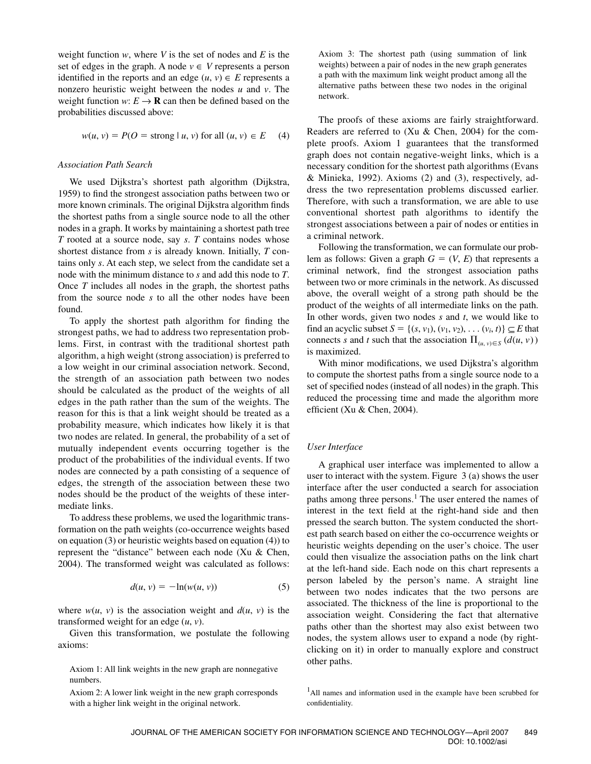weight function  $w$ , where  $V$  is the set of nodes and  $E$  is the set of edges in the graph. A node  $v \in V$  represents a person identified in the reports and an edge  $(u, v) \in E$  represents a nonzero heuristic weight between the nodes *u* and *v*. The weight function *w*:  $E \rightarrow \mathbf{R}$  can then be defined based on the probabilities discussed above:

$$
w(u, v) = P(O = \text{strong} \mid u, v) \text{ for all } (u, v) \in E \quad (4)
$$

#### *Association Path Search*

We used Dijkstra's shortest path algorithm (Dijkstra, 1959) to find the strongest association paths between two or more known criminals. The original Dijkstra algorithm finds the shortest paths from a single source node to all the other nodes in a graph. It works by maintaining a shortest path tree *T* rooted at a source node, say *s*. *T* contains nodes whose shortest distance from *s* is already known. Initially, *T* contains only *s*. At each step, we select from the candidate set a node with the minimum distance to *s* and add this node to *T*. Once *T* includes all nodes in the graph, the shortest paths from the source node *s* to all the other nodes have been found.

To apply the shortest path algorithm for finding the strongest paths, we had to address two representation problems. First, in contrast with the traditional shortest path algorithm, a high weight (strong association) is preferred to a low weight in our criminal association network. Second, the strength of an association path between two nodes should be calculated as the product of the weights of all edges in the path rather than the sum of the weights. The reason for this is that a link weight should be treated as a probability measure, which indicates how likely it is that two nodes are related. In general, the probability of a set of mutually independent events occurring together is the product of the probabilities of the individual events. If two nodes are connected by a path consisting of a sequence of edges, the strength of the association between these two nodes should be the product of the weights of these intermediate links.

To address these problems, we used the logarithmic transformation on the path weights (co-occurrence weights based on equation (3) or heuristic weights based on equation (4)) to represent the "distance" between each node (Xu & Chen, 2004). The transformed weight was calculated as follows:

$$
d(u, v) = -\ln(w(u, v))\tag{5}
$$

where  $w(u, v)$  is the association weight and  $d(u, v)$  is the transformed weight for an edge (*u*, *v*).

Given this transformation, we postulate the following axioms:

Axiom 1: All link weights in the new graph are nonnegative numbers.

Axiom 2: A lower link weight in the new graph corresponds with a higher link weight in the original network.

Axiom 3: The shortest path (using summation of link weights) between a pair of nodes in the new graph generates a path with the maximum link weight product among all the alternative paths between these two nodes in the original network.

The proofs of these axioms are fairly straightforward. Readers are referred to (Xu & Chen, 2004) for the complete proofs. Axiom 1 guarantees that the transformed graph does not contain negative-weight links, which is a necessary condition for the shortest path algorithms (Evans & Minieka, 1992). Axioms (2) and (3), respectively, address the two representation problems discussed earlier. Therefore, with such a transformation, we are able to use conventional shortest path algorithms to identify the strongest associations between a pair of nodes or entities in a criminal network.

Following the transformation, we can formulate our problem as follows: Given a graph  $G = (V, E)$  that represents a criminal network, find the strongest association paths between two or more criminals in the network. As discussed above, the overall weight of a strong path should be the product of the weights of all intermediate links on the path. In other words, given two nodes *s* and *t*, we would like to find an acyclic subset  $S = \{(s, v_1), (v_1, v_2), \dots, (v_i, t)\} \subseteq E$  that connects *s* and *t* such that the association  $\Pi_{(u, v) \in S}$  ( $d(u, v)$ ) is maximized.

With minor modifications, we used Dijkstra's algorithm to compute the shortest paths from a single source node to a set of specified nodes (instead of all nodes) in the graph. This reduced the processing time and made the algorithm more efficient (Xu & Chen, 2004).

#### *User Interface*

A graphical user interface was implemented to allow a user to interact with the system. Figure 3 (a) shows the user interface after the user conducted a search for association paths among three persons.<sup>1</sup> The user entered the names of interest in the text field at the right-hand side and then pressed the search button. The system conducted the shortest path search based on either the co-occurrence weights or heuristic weights depending on the user's choice. The user could then visualize the association paths on the link chart at the left-hand side. Each node on this chart represents a person labeled by the person's name. A straight line between two nodes indicates that the two persons are associated. The thickness of the line is proportional to the association weight. Considering the fact that alternative paths other than the shortest may also exist between two nodes, the system allows user to expand a node (by rightclicking on it) in order to manually explore and construct other paths.

<sup>&</sup>lt;sup>1</sup>All names and information used in the example have been scrubbed for confidentiality.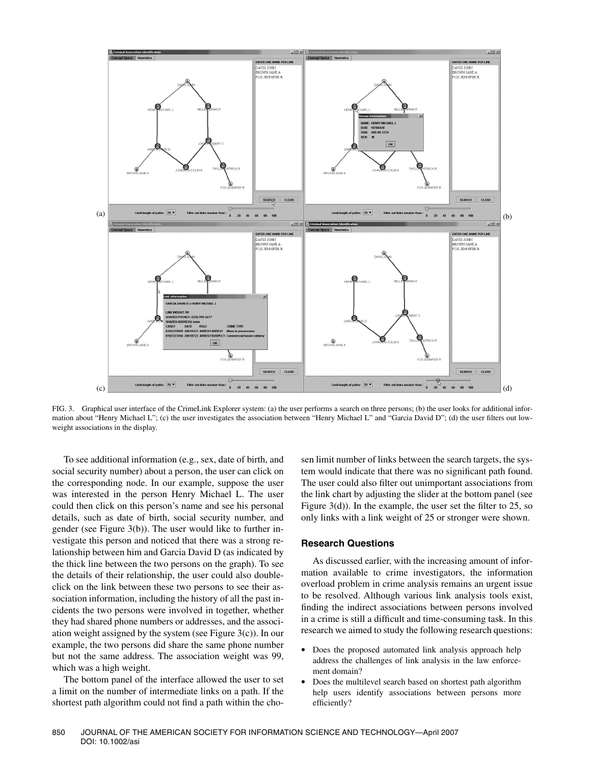

FIG. 3. Graphical user interface of the CrimeLink Explorer system: (a) the user performs a search on three persons; (b) the user looks for additional information about "Henry Michael L"; (c) the user investigates the association between "Henry Michael L" and "Garcia David D"; (d) the user filters out lowweight associations in the display.

To see additional information (e.g., sex, date of birth, and social security number) about a person, the user can click on the corresponding node. In our example, suppose the user was interested in the person Henry Michael L. The user could then click on this person's name and see his personal details, such as date of birth, social security number, and gender (see Figure 3(b)). The user would like to further investigate this person and noticed that there was a strong relationship between him and Garcia David D (as indicated by the thick line between the two persons on the graph). To see the details of their relationship, the user could also doubleclick on the link between these two persons to see their association information, including the history of all the past incidents the two persons were involved in together, whether they had shared phone numbers or addresses, and the association weight assigned by the system (see Figure 3(c)). In our example, the two persons did share the same phone number but not the same address. The association weight was 99, which was a high weight.

The bottom panel of the interface allowed the user to set a limit on the number of intermediate links on a path. If the shortest path algorithm could not find a path within the chosen limit number of links between the search targets, the system would indicate that there was no significant path found. The user could also filter out unimportant associations from the link chart by adjusting the slider at the bottom panel (see Figure 3(d)). In the example, the user set the filter to 25, so only links with a link weight of 25 or stronger were shown.

# **Research Questions**

As discussed earlier, with the increasing amount of information available to crime investigators, the information overload problem in crime analysis remains an urgent issue to be resolved. Although various link analysis tools exist, finding the indirect associations between persons involved in a crime is still a difficult and time-consuming task. In this research we aimed to study the following research questions:

- Does the proposed automated link analysis approach help address the challenges of link analysis in the law enforcement domain?
- Does the multilevel search based on shortest path algorithm help users identify associations between persons more efficiently?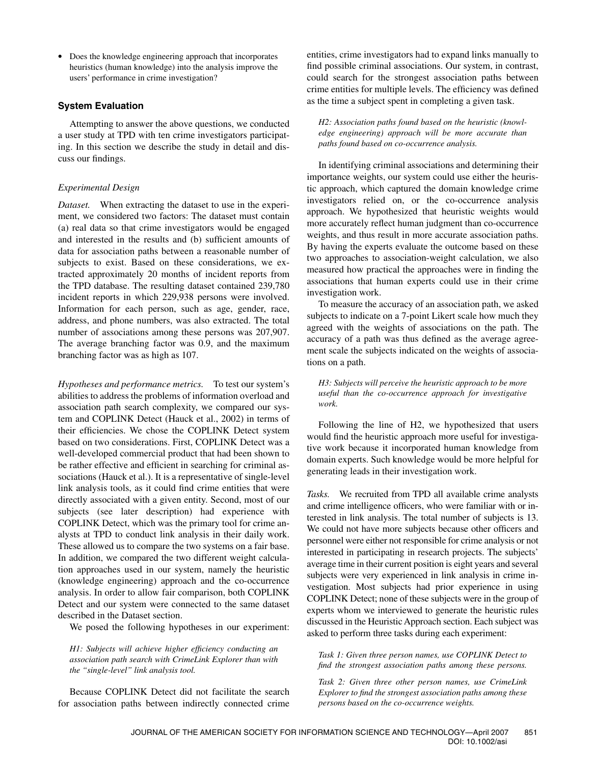• Does the knowledge engineering approach that incorporates heuristics (human knowledge) into the analysis improve the users' performance in crime investigation?

# **System Evaluation**

Attempting to answer the above questions, we conducted a user study at TPD with ten crime investigators participating. In this section we describe the study in detail and discuss our findings.

# *Experimental Design*

*Dataset.* When extracting the dataset to use in the experiment, we considered two factors: The dataset must contain (a) real data so that crime investigators would be engaged and interested in the results and (b) sufficient amounts of data for association paths between a reasonable number of subjects to exist. Based on these considerations, we extracted approximately 20 months of incident reports from the TPD database. The resulting dataset contained 239,780 incident reports in which 229,938 persons were involved. Information for each person, such as age, gender, race, address, and phone numbers, was also extracted. The total number of associations among these persons was 207,907. The average branching factor was 0.9, and the maximum branching factor was as high as 107.

*Hypotheses and performance metrics.* To test our system's abilities to address the problems of information overload and association path search complexity, we compared our system and COPLINK Detect (Hauck et al., 2002) in terms of their efficiencies. We chose the COPLINK Detect system based on two considerations. First, COPLINK Detect was a well-developed commercial product that had been shown to be rather effective and efficient in searching for criminal associations (Hauck et al.). It is a representative of single-level link analysis tools, as it could find crime entities that were directly associated with a given entity. Second, most of our subjects (see later description) had experience with COPLINK Detect, which was the primary tool for crime analysts at TPD to conduct link analysis in their daily work. These allowed us to compare the two systems on a fair base. In addition, we compared the two different weight calculation approaches used in our system, namely the heuristic (knowledge engineering) approach and the co-occurrence analysis. In order to allow fair comparison, both COPLINK Detect and our system were connected to the same dataset described in the Dataset section.

We posed the following hypotheses in our experiment:

*H1: Subjects will achieve higher efficiency conducting an association path search with CrimeLink Explorer than with the "single-level" link analysis tool.*

Because COPLINK Detect did not facilitate the search for association paths between indirectly connected crime

entities, crime investigators had to expand links manually to find possible criminal associations. Our system, in contrast, could search for the strongest association paths between crime entities for multiple levels. The efficiency was defined as the time a subject spent in completing a given task.

*H2: Association paths found based on the heuristic (knowledge engineering) approach will be more accurate than paths found based on co-occurrence analysis.*

In identifying criminal associations and determining their importance weights, our system could use either the heuristic approach, which captured the domain knowledge crime investigators relied on, or the co-occurrence analysis approach. We hypothesized that heuristic weights would more accurately reflect human judgment than co-occurrence weights, and thus result in more accurate association paths. By having the experts evaluate the outcome based on these two approaches to association-weight calculation, we also measured how practical the approaches were in finding the associations that human experts could use in their crime investigation work.

To measure the accuracy of an association path, we asked subjects to indicate on a 7-point Likert scale how much they agreed with the weights of associations on the path. The accuracy of a path was thus defined as the average agreement scale the subjects indicated on the weights of associations on a path.

*H3: Subjects will perceive the heuristic approach to be more useful than the co-occurrence approach for investigative work.*

Following the line of H2, we hypothesized that users would find the heuristic approach more useful for investigative work because it incorporated human knowledge from domain experts. Such knowledge would be more helpful for generating leads in their investigation work.

*Tasks.* We recruited from TPD all available crime analysts and crime intelligence officers, who were familiar with or interested in link analysis. The total number of subjects is 13. We could not have more subjects because other officers and personnel were either not responsible for crime analysis or not interested in participating in research projects. The subjects' average time in their current position is eight years and several subjects were very experienced in link analysis in crime investigation. Most subjects had prior experience in using COPLINK Detect; none of these subjects were in the group of experts whom we interviewed to generate the heuristic rules discussed in the Heuristic Approach section. Each subject was asked to perform three tasks during each experiment:

*Task 1: Given three person names, use COPLINK Detect to find the strongest association paths among these persons.*

*Task 2: Given three other person names, use CrimeLink Explorer to find the strongest association paths among these persons based on the co-occurrence weights.*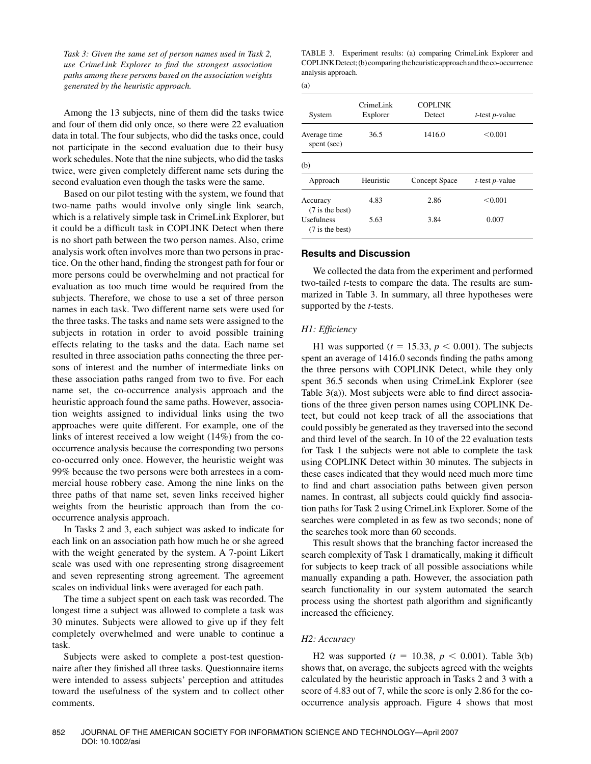*Task 3: Given the same set of person names used in Task 2, use CrimeLink Explorer to find the strongest association paths among these persons based on the association weights generated by the heuristic approach.*

Among the 13 subjects, nine of them did the tasks twice and four of them did only once, so there were 22 evaluation data in total. The four subjects, who did the tasks once, could not participate in the second evaluation due to their busy work schedules. Note that the nine subjects, who did the tasks twice, were given completely different name sets during the second evaluation even though the tasks were the same.

Based on our pilot testing with the system, we found that two-name paths would involve only single link search, which is a relatively simple task in CrimeLink Explorer, but it could be a difficult task in COPLINK Detect when there is no short path between the two person names. Also, crime analysis work often involves more than two persons in practice. On the other hand, finding the strongest path for four or more persons could be overwhelming and not practical for evaluation as too much time would be required from the subjects. Therefore, we chose to use a set of three person names in each task. Two different name sets were used for the three tasks. The tasks and name sets were assigned to the subjects in rotation in order to avoid possible training effects relating to the tasks and the data. Each name set resulted in three association paths connecting the three persons of interest and the number of intermediate links on these association paths ranged from two to five. For each name set, the co-occurrence analysis approach and the heuristic approach found the same paths. However, association weights assigned to individual links using the two approaches were quite different. For example, one of the links of interest received a low weight (14%) from the cooccurrence analysis because the corresponding two persons co-occurred only once. However, the heuristic weight was 99% because the two persons were both arrestees in a commercial house robbery case. Among the nine links on the three paths of that name set, seven links received higher weights from the heuristic approach than from the cooccurrence analysis approach.

In Tasks 2 and 3, each subject was asked to indicate for each link on an association path how much he or she agreed with the weight generated by the system. A 7-point Likert scale was used with one representing strong disagreement and seven representing strong agreement. The agreement scales on individual links were averaged for each path.

The time a subject spent on each task was recorded. The longest time a subject was allowed to complete a task was 30 minutes. Subjects were allowed to give up if they felt completely overwhelmed and were unable to continue a task.

Subjects were asked to complete a post-test questionnaire after they finished all three tasks. Questionnaire items were intended to assess subjects' perception and attitudes toward the usefulness of the system and to collect other comments.

TABLE 3. Experiment results: (a) comparing CrimeLink Explorer and COPLINKDetect;(b)comparingtheheuristicapproachandtheco-occurrence analysis approach.

(a)

| System                                         | CrimeLink<br>Explorer | <b>COPLINK</b><br>Detect | $t$ -test $p$ -value |
|------------------------------------------------|-----------------------|--------------------------|----------------------|
| Average time<br>spent (sec)                    | 36.5                  | 1416.0                   | < 0.001              |
| (b)                                            |                       |                          |                      |
| Approach                                       | Heuristic             | Concept Space            | $t$ -test $p$ -value |
| Accuracy<br>(7 is the best)                    | 4.83                  | 2.86                     | < 0.001              |
| <b>Usefulness</b><br>$(7 \text{ is the best})$ | 5.63                  | 3.84                     | 0.007                |

# **Results and Discussion**

We collected the data from the experiment and performed two-tailed *t*-tests to compare the data. The results are summarized in Table 3. In summary, all three hypotheses were supported by the *t*-tests.

## *H1: Efficiency*

H1 was supported  $(t = 15.33, p < 0.001)$ . The subjects spent an average of 1416.0 seconds finding the paths among the three persons with COPLINK Detect, while they only spent 36.5 seconds when using CrimeLink Explorer (see Table 3(a)). Most subjects were able to find direct associations of the three given person names using COPLINK Detect, but could not keep track of all the associations that could possibly be generated as they traversed into the second and third level of the search. In 10 of the 22 evaluation tests for Task 1 the subjects were not able to complete the task using COPLINK Detect within 30 minutes. The subjects in these cases indicated that they would need much more time to find and chart association paths between given person names. In contrast, all subjects could quickly find association paths for Task 2 using CrimeLink Explorer. Some of the searches were completed in as few as two seconds; none of the searches took more than 60 seconds.

This result shows that the branching factor increased the search complexity of Task 1 dramatically, making it difficult for subjects to keep track of all possible associations while manually expanding a path. However, the association path search functionality in our system automated the search process using the shortest path algorithm and significantly increased the efficiency.

#### *H2: Accuracy*

H2 was supported  $(t = 10.38, p < 0.001)$ . Table 3(b) shows that, on average, the subjects agreed with the weights calculated by the heuristic approach in Tasks 2 and 3 with a score of 4.83 out of 7, while the score is only 2.86 for the cooccurrence analysis approach. Figure 4 shows that most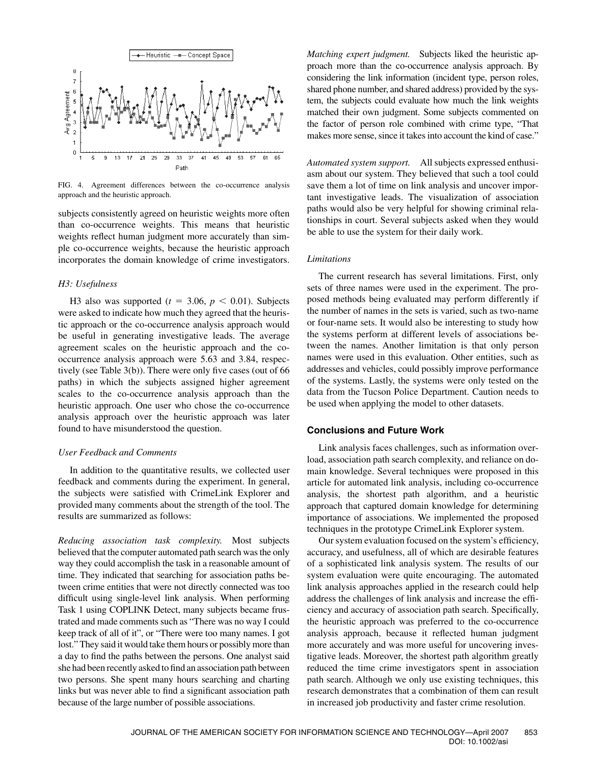

FIG. 4. Agreement differences between the co-occurrence analysis approach and the heuristic approach.

subjects consistently agreed on heuristic weights more often than co-occurrence weights. This means that heuristic weights reflect human judgment more accurately than simple co-occurrence weights, because the heuristic approach incorporates the domain knowledge of crime investigators.

## *H3: Usefulness*

H3 also was supported  $(t = 3.06, p < 0.01)$ . Subjects were asked to indicate how much they agreed that the heuristic approach or the co-occurrence analysis approach would be useful in generating investigative leads. The average agreement scales on the heuristic approach and the cooccurrence analysis approach were 5.63 and 3.84, respectively (see Table 3(b)). There were only five cases (out of 66 paths) in which the subjects assigned higher agreement scales to the co-occurrence analysis approach than the heuristic approach. One user who chose the co-occurrence analysis approach over the heuristic approach was later found to have misunderstood the question.

#### *User Feedback and Comments*

In addition to the quantitative results, we collected user feedback and comments during the experiment. In general, the subjects were satisfied with CrimeLink Explorer and provided many comments about the strength of the tool. The results are summarized as follows:

*Reducing association task complexity.* Most subjects believed that the computer automated path search was the only way they could accomplish the task in a reasonable amount of time. They indicated that searching for association paths between crime entities that were not directly connected was too difficult using single-level link analysis. When performing Task 1 using COPLINK Detect, many subjects became frustrated and made comments such as "There was no way I could keep track of all of it", or "There were too many names. I got lost." They said it would take them hours or possibly more than a day to find the paths between the persons. One analyst said she had been recently asked to find an association path between two persons. She spent many hours searching and charting links but was never able to find a significant association path because of the large number of possible associations.

*Matching expert judgment.* Subjects liked the heuristic approach more than the co-occurrence analysis approach. By considering the link information (incident type, person roles, shared phone number, and shared address) provided by the system, the subjects could evaluate how much the link weights matched their own judgment. Some subjects commented on the factor of person role combined with crime type, "That makes more sense, since it takes into account the kind of case."

*Automated system support.* All subjects expressed enthusiasm about our system. They believed that such a tool could save them a lot of time on link analysis and uncover important investigative leads. The visualization of association paths would also be very helpful for showing criminal relationships in court. Several subjects asked when they would be able to use the system for their daily work.

## *Limitations*

The current research has several limitations. First, only sets of three names were used in the experiment. The proposed methods being evaluated may perform differently if the number of names in the sets is varied, such as two-name or four-name sets. It would also be interesting to study how the systems perform at different levels of associations between the names. Another limitation is that only person names were used in this evaluation. Other entities, such as addresses and vehicles, could possibly improve performance of the systems. Lastly, the systems were only tested on the data from the Tucson Police Department. Caution needs to be used when applying the model to other datasets.

## **Conclusions and Future Work**

Link analysis faces challenges, such as information overload, association path search complexity, and reliance on domain knowledge. Several techniques were proposed in this article for automated link analysis, including co-occurrence analysis, the shortest path algorithm, and a heuristic approach that captured domain knowledge for determining importance of associations. We implemented the proposed techniques in the prototype CrimeLink Explorer system.

Our system evaluation focused on the system's efficiency, accuracy, and usefulness, all of which are desirable features of a sophisticated link analysis system. The results of our system evaluation were quite encouraging. The automated link analysis approaches applied in the research could help address the challenges of link analysis and increase the efficiency and accuracy of association path search. Specifically, the heuristic approach was preferred to the co-occurrence analysis approach, because it reflected human judgment more accurately and was more useful for uncovering investigative leads. Moreover, the shortest path algorithm greatly reduced the time crime investigators spent in association path search. Although we only use existing techniques, this research demonstrates that a combination of them can result in increased job productivity and faster crime resolution.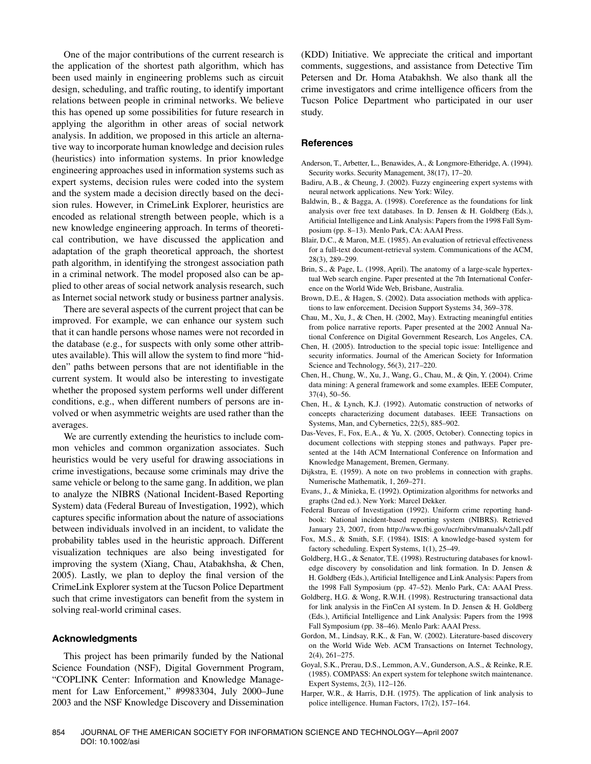One of the major contributions of the current research is the application of the shortest path algorithm, which has been used mainly in engineering problems such as circuit design, scheduling, and traffic routing, to identify important relations between people in criminal networks. We believe this has opened up some possibilities for future research in applying the algorithm in other areas of social network analysis. In addition, we proposed in this article an alternative way to incorporate human knowledge and decision rules (heuristics) into information systems. In prior knowledge engineering approaches used in information systems such as expert systems, decision rules were coded into the system and the system made a decision directly based on the decision rules. However, in CrimeLink Explorer, heuristics are encoded as relational strength between people, which is a new knowledge engineering approach. In terms of theoretical contribution, we have discussed the application and adaptation of the graph theoretical approach, the shortest path algorithm, in identifying the strongest association path in a criminal network. The model proposed also can be applied to other areas of social network analysis research, such as Internet social network study or business partner analysis.

There are several aspects of the current project that can be improved. For example, we can enhance our system such that it can handle persons whose names were not recorded in the database (e.g., for suspects with only some other attributes available). This will allow the system to find more "hidden" paths between persons that are not identifiable in the current system. It would also be interesting to investigate whether the proposed system performs well under different conditions, e.g., when different numbers of persons are involved or when asymmetric weights are used rather than the averages.

We are currently extending the heuristics to include common vehicles and common organization associates. Such heuristics would be very useful for drawing associations in crime investigations, because some criminals may drive the same vehicle or belong to the same gang. In addition, we plan to analyze the NIBRS (National Incident-Based Reporting System) data (Federal Bureau of Investigation, 1992), which captures specific information about the nature of associations between individuals involved in an incident, to validate the probability tables used in the heuristic approach. Different visualization techniques are also being investigated for improving the system (Xiang, Chau, Atabakhsha, & Chen, 2005). Lastly, we plan to deploy the final version of the CrimeLink Explorer system at the Tucson Police Department such that crime investigators can benefit from the system in solving real-world criminal cases.

## **Acknowledgments**

This project has been primarily funded by the National Science Foundation (NSF), Digital Government Program, "COPLINK Center: Information and Knowledge Management for Law Enforcement," #9983304, July 2000–June 2003 and the NSF Knowledge Discovery and Dissemination

(KDD) Initiative. We appreciate the critical and important comments, suggestions, and assistance from Detective Tim Petersen and Dr. Homa Atabakhsh. We also thank all the crime investigators and crime intelligence officers from the Tucson Police Department who participated in our user study.

## **References**

- Anderson, T., Arbetter, L., Benawides, A., & Longmore-Etheridge, A. (1994). Security works. Security Management, 38(17), 17–20.
- Badiru, A.B., & Cheung, J. (2002). Fuzzy engineering expert systems with neural network applications. New York: Wiley.
- Baldwin, B., & Bagga, A. (1998). Coreference as the foundations for link analysis over free text databases. In D. Jensen & H. Goldberg (Eds.), Artificial Intelligence and Link Analysis: Papers from the 1998 Fall Symposium (pp. 8–13). Menlo Park, CA: AAAI Press.
- Blair, D.C., & Maron, M.E. (1985). An evaluation of retrieval effectiveness for a full-text document-retrieval system. Communications of the ACM, 28(3), 289–299.
- Brin, S., & Page, L. (1998, April). The anatomy of a large-scale hypertextual Web search engine. Paper presented at the 7th International Conference on the World Wide Web, Brisbane, Australia.
- Brown, D.E., & Hagen, S. (2002). Data association methods with applications to law enforcement. Decision Support Systems 34, 369–378.
- Chau, M., Xu, J., & Chen, H. (2002, May). Extracting meaningful entities from police narrative reports. Paper presented at the 2002 Annual National Conference on Digital Government Research, Los Angeles, CA.
- Chen, H. (2005). Introduction to the special topic issue: Intelligence and security informatics. Journal of the American Society for Information Science and Technology, 56(3), 217–220.
- Chen, H., Chung, W., Xu, J., Wang, G., Chau, M., & Qin, Y. (2004). Crime data mining: A general framework and some examples. IEEE Computer, 37(4), 50–56.
- Chen, H., & Lynch, K.J. (1992). Automatic construction of networks of concepts characterizing document databases. IEEE Transactions on Systems, Man, and Cybernetics, 22(5), 885–902.
- Das-Veves, F., Fox, E.A., & Yu, X. (2005, October). Connecting topics in document collections with stepping stones and pathways. Paper presented at the 14th ACM International Conference on Information and Knowledge Management, Bremen, Germany.
- Dijkstra, E. (1959). A note on two problems in connection with graphs. Numerische Mathematik, 1, 269–271.
- Evans, J., & Minieka, E. (1992). Optimization algorithms for networks and graphs (2nd ed.). New York: Marcel Dekker.
- Federal Bureau of Investigation (1992). Uniform crime reporting handbook: National incident-based reporting system (NIBRS). Retrieved January 23, 2007, from http://www.fbi.gov/ucr/nibrs/manuals/v2all.pdf
- Fox, M.S., & Smith, S.F. (1984). ISIS: A knowledge-based system for factory scheduling. Expert Systems, 1(1), 25–49.
- Goldberg, H.G., & Senator, T.E. (1998). Restructuring databases for knowledge discovery by consolidation and link formation. In D. Jensen & H. Goldberg (Eds.), Artificial Intelligence and Link Analysis: Papers from the 1998 Fall Symposium (pp. 47–52). Menlo Park, CA: AAAI Press.
- Goldberg, H.G. & Wong, R.W.H. (1998). Restructuring transactional data for link analysis in the FinCen AI system. In D. Jensen & H. Goldberg (Eds.), Artificial Intelligence and Link Analysis: Papers from the 1998 Fall Symposium (pp. 38–46). Menlo Park: AAAI Press.
- Gordon, M., Lindsay, R.K., & Fan, W. (2002). Literature-based discovery on the World Wide Web. ACM Transactions on Internet Technology, 2(4), 261–275.
- Goyal, S.K., Prerau, D.S., Lemmon, A.V., Gunderson, A.S., & Reinke, R.E. (1985). COMPASS: An expert system for telephone switch maintenance. Expert Systems, 2(3), 112–126.
- Harper, W.R., & Harris, D.H. (1975). The application of link analysis to police intelligence. Human Factors, 17(2), 157–164.